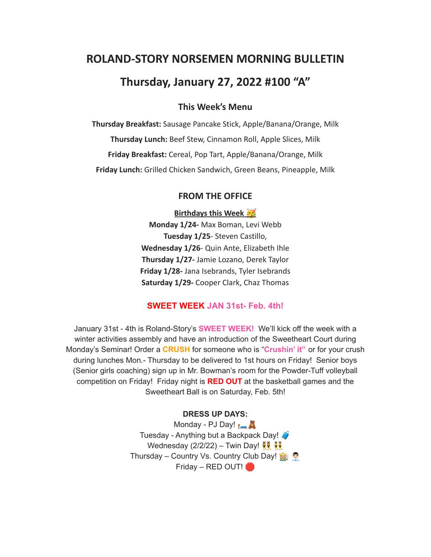# **ROLAND-STORY NORSEMEN MORNING BULLETIN**

## **Thursday, January 27, 2022 #100 "A"**

## **This Week's Menu**

**Thursday Breakfast:** Sausage Pancake Stick, Apple/Banana/Orange, Milk **Thursday Lunch:** Beef Stew, Cinnamon Roll, Apple Slices, Milk **Friday Breakfast:** Cereal, Pop Tart, Apple/Banana/Orange, Milk **Friday Lunch:** Grilled Chicken Sandwich, Green Beans, Pineapple, Milk

#### **FROM THE OFFICE**

**Birthdays this Week** 

**Monday 1/24-** Max Boman, Levi Webb **Tuesday 1/25**- Steven Castillo, **Wednesday 1/26**- Quin Ante, Elizabeth Ihle **Thursday 1/27-** Jamie Lozano, Derek Taylor **Friday 1/28-** Jana Isebrands, Tyler Isebrands **Saturday 1/29-** Cooper Clark, Chaz Thomas

## **SWEET WEEK JAN 31st- Feb. 4th!**

January 31st - 4th is Roland-Story's **SWEET WEEK!** We'll kick off the week with a winter activities assembly and have an introduction of the Sweetheart Court during Monday's Seminar! Order a **CRUSH** for someone who is "**Crushin' it"** or for your crush during lunches Mon.- Thursday to be delivered to 1st hours on Friday! Senior boys (Senior girls coaching) sign up in Mr. Bowman's room for the Powder-Tuff volleyball competition on Friday! Friday night is **RED OUT** at the basketball games and the Sweetheart Ball is on Saturday, Feb. 5th!

#### **DRESS UP DAYS:**

Monday - PJ Day! **A** Tuesday - Anything but a Backpack Day! Wednesday (2/2/22) – Twin Day!  $\frac{12}{10}$ Thursday – Country Vs. Country Club Day! Friday – RED OUT!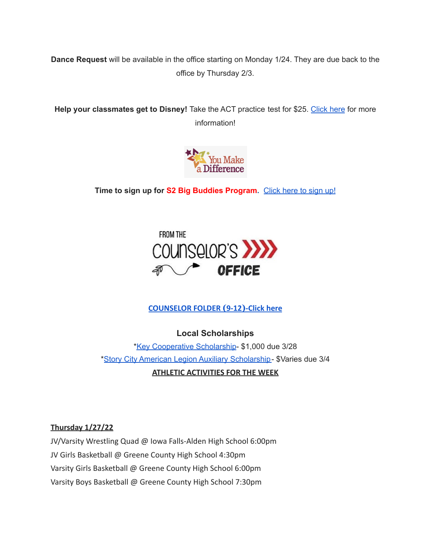**Dance Request** will be available in the office starting on Monday 1/24. They are due back to the office by Thursday 2/3.

**Help your classmates get to Disney!** Take the ACT practice test for \$25. [Click](https://drive.google.com/file/d/1oPqWQ0VvsIc-NVR9cIZGWUySp5CiMbtD/view?usp=sharing) here for more information!



**Time to sign up for S2 Big Buddies Program.** [Click](https://docs.google.com/forms/d/e/1FAIpQLScEfMWk-lsFYGzpe0Yn6ky9dqYu7j6368TGcUHByQAIutY4OA/viewform?usp=sf_link) here to sign up!



#### **[COUNSELOR FOLDER](https://docs.google.com/document/d/1vmwczNPbDzXe9vFaG5LJMQ7NYDv-i4oQJHybqA65TUc/edit?usp=sharing) (9-12)-Click here**

**Local Scholarships**

\*Key [Cooperative](https://storcoopmediafilesprd.blob.core.windows.net/atlasportals/all-media/keycoope/website/documents/2021-2022-scholarship-packet.pdf) Scholarship- \$1,000 due 3/28 \*Story City American Legion Auxiliary [Scholarship-](https://docs.google.com/document/d/1mrTNcze4j66xlxg-M87WORerMOc7lhPxYQRvWYQXnBI/edit?usp=sharing) \$Varies due 3/4 **ATHLETIC ACTIVITIES FOR THE WEEK**

#### **Thursday 1/27/22**

JV/Varsity Wrestling Quad @ Iowa Falls-Alden High School 6:00pm JV Girls Basketball @ Greene County High School 4:30pm Varsity Girls Basketball @ Greene County High School 6:00pm Varsity Boys Basketball @ Greene County High School 7:30pm